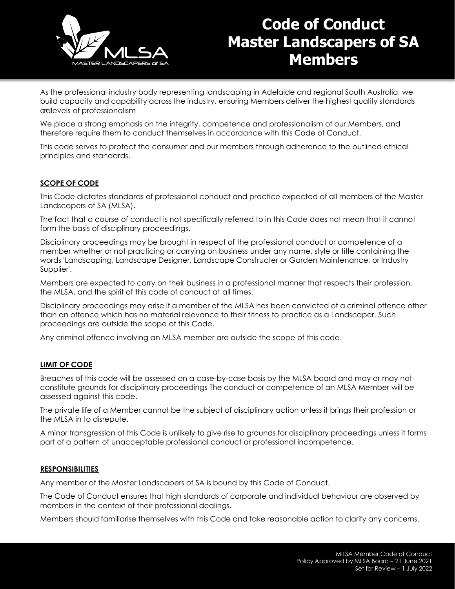

## **Code of Conduct Master Landscapers of SA Members**

As the professional industry body representing landscaping in Adelaide and regional South Australia, we build capacity and capability across the industry, ensuring Members deliver the highest quality standards andlevels of professionalism

We place a strong emphasis on the integrity, competence and professionalism of our Members, and therefore require them to conduct themselves in accordance with this Code of Conduct.

This code serves to protect the consumer and our members through adherence to the outlined ethical principles and standards.

#### **SCOPE OF CODE**

This Code dictates standards of professional conduct and practice expected of all members of the Master Landscapers of SA (MLSA).

The fact that a course of conduct is not specifically referred to in this Code does not mean that it cannot form the basis of disciplinary proceedings.

Disciplinary proceedings may be brought in respect of the professional conduct or competence of a member whether or not practicing or carrying on business under any name, style or title containing the words 'Landscaping, Landscape Designer, Landscape Constructer or Garden Maintenance, or Industry Supplier'.

Members are expected to carry on their business in a professional manner that respects their profession, the MLSA, and the spirit of this code of conduct at all times.

Disciplinary proceedings may arise if a member of the MLSA has been convicted of a criminal offence other than an offence which has no material relevance to their fitness to practice as a Landscaper. Such proceedings are outside the scope of this Code.

Any criminal offence involving an MLSA member are outside the scope of this code.

#### **LIMIT OF CODE**

Breaches of this code will be assessed on a case-by-case basis by the MLSA board and may or may not constitute grounds for disciplinary proceedings The conduct or competence of an MLSA Member will be assessed against this code.

The private life of a Member cannot be the subject of disciplinary action unless it brings their profession or the MLSA in to disrepute.

A minor transgression of this Code is unlikely to give rise to grounds for disciplinary proceedings unless it forms part of a pattern of unacceptable professional conduct or professional incompetence.

#### **RESPONSIBILITIES**

Any member of the Master Landscapers of SA is bound by this Code of Conduct.

The Code of Conduct ensures that high standards of corporate and individual behaviour are observed by members in the context of their professional dealings.

Members should familiarise themselves with this Code and take reasonable action to clarify any concerns.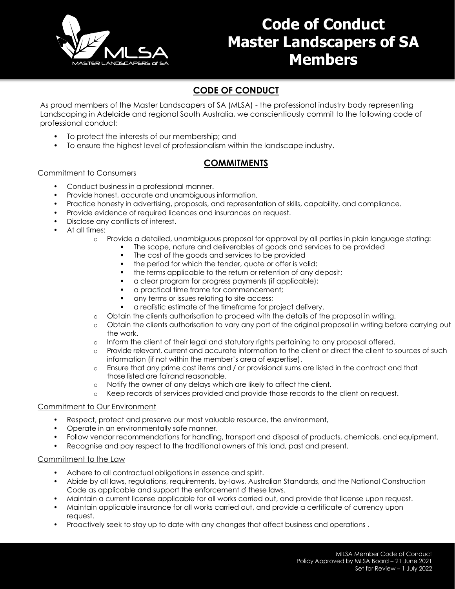

# **Code of Conduct Master Landscapers of SA Members**

### **CODE OF CONDUCT**

As proud members of the Master Landscapers of SA (MLSA) - the professional industry body representing Landscaping in Adelaide and regional South Australia, we conscientiously commit to the following code of professional conduct:

- To protect the interests of our membership; and
- To ensure the highest level of professionalism within the landscape industry.

### **COMMITMENTS**

#### Commitment to Consumers

- Conduct business in a professional manner.
- Provide honest, accurate and unambiguous information.
- Practice honesty in advertising, proposals, and representation of skills, capability, and compliance.
- Provide evidence of required licences and insurances on request.
- Disclose any conflicts of interest.
- At all times:
	- o Provide a detailed, unambiguous proposal for approval by all parties in plain language stating:
		- The scope, nature and deliverables of goods and services to be provided
			- The cost of the goods and services to be provided
		- the period for which the tender, quote or offer is valid;
		- the terms applicable to the return or retention of any deposit;
		- a clear program for progress payments (if applicable);
		- a practical time frame for commencement;
		- any terms or issues relating to site access;
		- a realistic estimate of the timeframe for project delivery.
	- o Obtain the clients authorisation to proceed with the details of the proposal in writing.
	- o Obtain the clients authorisation to vary any part of the original proposal in writing before carrying out the work.
	- o Inform the client of their legal and statutory rights pertaining to any proposal offered.
	- o Provide relevant, current and accurate information to the client or direct the client to sources of such information (if not within the member's area of expertise).
	- o Ensure that any prime cost items and / or provisional sums are listed in the contract and that those listed are fairand reasonable.
	- o Notify the owner of any delays which are likely to affect the client.
	- o Keep records of services provided and provide those records to the client on request.

#### Commitment to Our Environment

- Respect, protect and preserve our most valuable resource, the environment,
- Operate in an environmentally safe manner.
- Follow vendor recommendations for handling, transport and disposal of products, chemicals, and equipment.
- Recognise and pay respect to the traditional owners of this land, past and present.

#### Commitment to the Law

- Adhere to all contractual obligations in essence and spirit.
- Abide by all laws, regulations, requirements, by-laws, Australian Standards, and the National Construction Code as applicable and support the enforcement of these laws.
- Maintain a current license applicable for all works carried out, and provide that license upon request.
- Maintain applicable insurance for all works carried out, and provide a certificate of currency upon request.
- Proactively seek to stay up to date with any changes that affect business and operations .